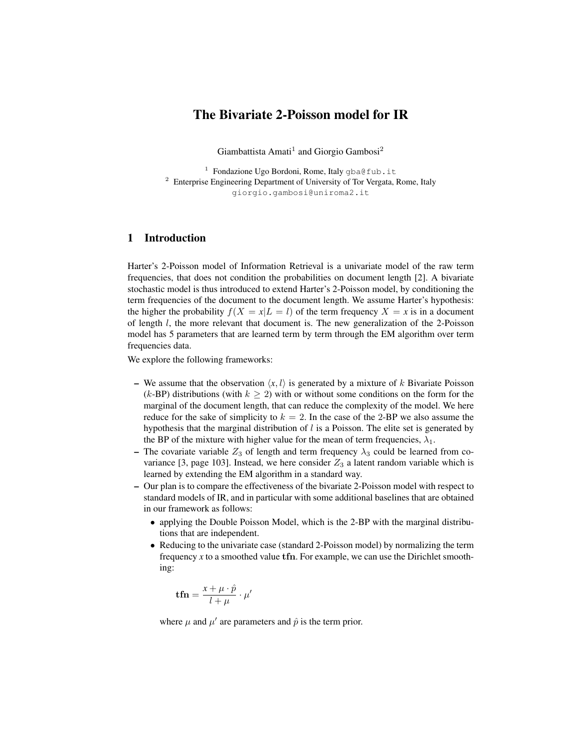# The Bivariate 2-Poisson model for IR

Giambattista Amati<sup>1</sup> and Giorgio Gambosi<sup>2</sup>

<sup>1</sup> Fondazione Ugo Bordoni, Rome, Italy gba@fub.it <sup>2</sup> Enterprise Engineering Department of University of Tor Vergata, Rome, Italy giorgio.gambosi@uniroma2.it

# 1 Introduction

Harter's 2-Poisson model of Information Retrieval is a univariate model of the raw term frequencies, that does not condition the probabilities on document length [2]. A bivariate stochastic model is thus introduced to extend Harter's 2-Poisson model, by conditioning the term frequencies of the document to the document length. We assume Harter's hypothesis: the higher the probability  $f(X = x | L = l)$  of the term frequency  $X = x$  is in a document of length  $l$ , the more relevant that document is. The new generalization of the 2-Poisson model has 5 parameters that are learned term by term through the EM algorithm over term frequencies data.

We explore the following frameworks:

- We assume that the observation  $\langle x, l \rangle$  is generated by a mixture of k Bivariate Poisson (k-BP) distributions (with  $k \geq 2$ ) with or without some conditions on the form for the marginal of the document length, that can reduce the complexity of the model. We here reduce for the sake of simplicity to  $k = 2$ . In the case of the 2-BP we also assume the hypothesis that the marginal distribution of  $l$  is a Poisson. The elite set is generated by the BP of the mixture with higher value for the mean of term frequencies,  $\lambda_1$ .
- The covariate variable  $Z_3$  of length and term frequency  $\lambda_3$  could be learned from covariance [3, page 103]. Instead, we here consider  $Z_3$  a latent random variable which is learned by extending the EM algorithm in a standard way.
- Our plan is to compare the effectiveness of the bivariate 2-Poisson model with respect to standard models of IR, and in particular with some additional baselines that are obtained in our framework as follows:
	- applying the Double Poisson Model, which is the 2-BP with the marginal distributions that are independent.
	- Reducing to the univariate case (standard 2-Poisson model) by normalizing the term frequency  $x$  to a smoothed value  $\text{tfn}$ . For example, we can use the Dirichlet smoothing:

$$
\mathbf{tfn} = \frac{x + \mu \cdot \hat{p}}{l + \mu} \cdot \mu'
$$

where  $\mu$  and  $\mu'$  are parameters and  $\hat{p}$  is the term prior.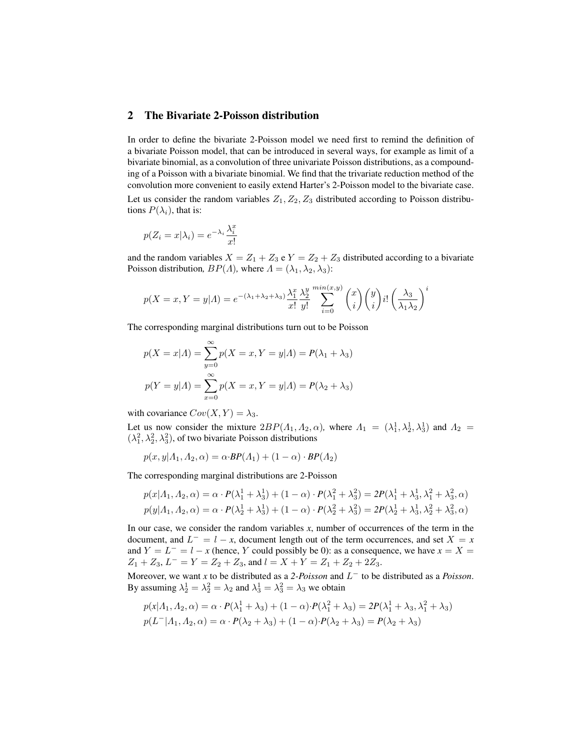# 2 The Bivariate 2-Poisson distribution

In order to define the bivariate 2-Poisson model we need first to remind the definition of a bivariate Poisson model, that can be introduced in several ways, for example as limit of a bivariate binomial, as a convolution of three univariate Poisson distributions, as a compounding of a Poisson with a bivariate binomial. We find that the trivariate reduction method of the convolution more convenient to easily extend Harter's 2-Poisson model to the bivariate case.

Let us consider the random variables  $Z_1, Z_2, Z_3$  distributed according to Poisson distributions  $P(\lambda_i)$ , that is:

$$
p(Z_i = x | \lambda_i) = e^{-\lambda_i} \frac{\lambda_i^x}{x!}
$$

and the random variables  $X = Z_1 + Z_3$  e  $Y = Z_2 + Z_3$  distributed according to a bivariate Poisson distribution,  $BP(\Lambda)$ , where  $\Lambda = (\lambda_1, \lambda_2, \lambda_3)$ :

$$
p(X = x, Y = y | A) = e^{-(\lambda_1 + \lambda_2 + \lambda_3)} \frac{\lambda_1^x}{x!} \frac{\lambda_2^y}{y!} \sum_{i=0}^{\min(x,y)} {x \choose i} {y \choose i} i! \left(\frac{\lambda_3}{\lambda_1 \lambda_2}\right)^i
$$

The corresponding marginal distributions turn out to be Poisson

$$
p(X = x | A) = \sum_{y=0}^{\infty} p(X = x, Y = y | A) = P(\lambda_1 + \lambda_3)
$$

$$
p(Y = y | A) = \sum_{x=0}^{\infty} p(X = x, Y = y | A) = P(\lambda_2 + \lambda_3)
$$

with covariance  $Cov(X, Y) = \lambda_3$ .

Let us now consider the mixture  $2BP(\Lambda_1, \Lambda_2, \alpha)$ , where  $\Lambda_1 = (\lambda_1^1, \lambda_2^1, \lambda_3^1)$  and  $\Lambda_2 =$  $(\lambda_1^2, \lambda_2^2, \lambda_3^2)$ , of two bivariate Poisson distributions

$$
p(x, y | A_1, A_2, \alpha) = \alpha \cdot BP(A_1) + (1 - \alpha) \cdot BP(A_2)
$$

The corresponding marginal distributions are 2-Poisson

$$
p(x|A_1, A_2, \alpha) = \alpha \cdot P(\lambda_1^1 + \lambda_3^1) + (1 - \alpha) \cdot P(\lambda_1^2 + \lambda_3^2) = 2P(\lambda_1^1 + \lambda_3^1, \lambda_1^2 + \lambda_3^2, \alpha)
$$
  

$$
p(y|A_1, A_2, \alpha) = \alpha \cdot P(\lambda_2^1 + \lambda_3^1) + (1 - \alpha) \cdot P(\lambda_2^2 + \lambda_3^2) = 2P(\lambda_2^1 + \lambda_3^1, \lambda_2^2 + \lambda_3^2, \alpha)
$$

In our case, we consider the random variables *x*, number of occurrences of the term in the document, and  $L^- = l - x$ , document length out of the term occurrences, and set  $X = x$ and  $Y = L^- = l - x$  (hence, Y could possibly be 0): as a consequence, we have  $x = X =$  $Z_1 + Z_3$ ,  $L^- = Y = Z_2 + Z_3$ , and  $l = X + Y = Z_1 + Z_2 + 2Z_3$ .

Moreover, we want *x* to be distributed as a 2-*Poisson* and  $L^-$  to be distributed as a *Poisson*. By assuming  $\lambda_2^1 = \lambda_2^2 = \lambda_2$  and  $\lambda_3^1 = \lambda_3^2 = \lambda_3$  we obtain

$$
p(x|A_1, A_2, \alpha) = \alpha \cdot P(\lambda_1^1 + \lambda_3) + (1 - \alpha) \cdot P(\lambda_1^2 + \lambda_3) = 2P(\lambda_1^1 + \lambda_3, \lambda_1^2 + \lambda_3)
$$
  

$$
p(L^-|A_1, A_2, \alpha) = \alpha \cdot P(\lambda_2 + \lambda_3) + (1 - \alpha) \cdot P(\lambda_2 + \lambda_3) = P(\lambda_2 + \lambda_3)
$$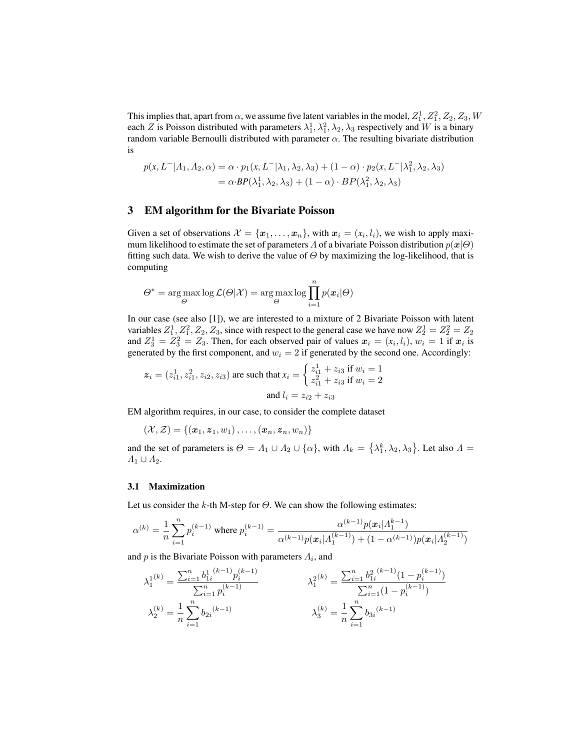This implies that, apart from  $\alpha$ , we assume five latent variables in the model,  $Z_1^1, Z_1^2, Z_2, Z_3, W$ each Z is Poisson distributed with parameters  $\lambda_1^1, \lambda_1^2, \lambda_2, \lambda_3$  respectively and W is a binary random variable Bernoulli distributed with parameter  $\alpha$ . The resulting bivariate distribution is

$$
p(x, L^{-}|A_1, A_2, \alpha) = \alpha \cdot p_1(x, L^{-}| \lambda_1, \lambda_2, \lambda_3) + (1 - \alpha) \cdot p_2(x, L^{-}| \lambda_1^2, \lambda_2, \lambda_3)
$$
  
=  $\alpha \cdot BP(\lambda_1^1, \lambda_2, \lambda_3) + (1 - \alpha) \cdot BP(\lambda_1^2, \lambda_2, \lambda_3)$ 

# 3 EM algorithm for the Bivariate Poisson

Given a set of observations  $\mathcal{X} = \{x_1, \ldots, x_n\}$ , with  $\mathbf{x}_i = (x_i, l_i)$ , we wish to apply maximum likelihood to estimate the set of parameters Λ of a bivariate Poisson distribution  $p(x|\Theta)$ fitting such data. We wish to derive the value of  $\Theta$  by maximizing the log-likelihood, that is computing

$$
\Theta^* = \argmax_{\Theta} \log \mathcal{L}(\Theta|\mathcal{X}) = \argmax_{\Theta} \log \prod_{i=1}^n p(\boldsymbol{x}_i|\Theta)
$$

In our case (see also [1]), we are interested to a mixture of 2 Bivariate Poisson with latent variables  $Z_1^1, Z_1^2, Z_2, Z_3$ , since with respect to the general case we have now  $Z_2^1 = Z_2^2 = Z_2$ and  $Z_3^1 = Z_3^2 = Z_3$ . Then, for each observed pair of values  $x_i = (x_i, l_i)$ ,  $w_i = 1$  if  $x_i$  is generated by the first component, and  $w_i = 2$  if generated by the second one. Accordingly:

$$
\mathbf{z}_{i} = (z_{i1}^{1}, z_{i1}^{2}, z_{i2}, z_{i3})
$$
 are such that  $x_{i} = \begin{cases} z_{i1}^{1} + z_{i3} & \text{if } w_{i} = 1\\ z_{i1}^{2} + z_{i3} & \text{if } w_{i} = 2 \end{cases}$   
and  $l_{i} = z_{i2} + z_{i3}$ 

EM algorithm requires, in our case, to consider the complete dataset

$$
(\mathcal{X},\mathcal{Z})=\left\{\left(\boldsymbol{x}_1,\boldsymbol{z}_1,w_1\right),\ldots,\left(\boldsymbol{x}_n,\boldsymbol{z}_n,w_n\right)\right\}
$$

and the set of parameters is  $\Theta = \Lambda_1 \cup \Lambda_2 \cup \{\alpha\}$ , with  $\Lambda_k = \{\lambda_1^k, \lambda_2, \lambda_3\}$ . Let also  $\Lambda =$  $\Lambda_1 \cup \Lambda_2$ .

#### 3.1 Maximization

Let us consider the k-th M-step for  $\Theta$ . We can show the following estimates:

$$
\alpha^{(k)} = \frac{1}{n}\sum_{i=1}^n p_i^{(k-1)} \text{ where } p_i^{(k-1)} = \frac{\alpha^{(k-1)} p(\boldsymbol{x}_i | \varLambda_1^{k-1})}{\alpha^{(k-1)} p(\boldsymbol{x}_i | \varLambda_1^{(k-1)}) + (1-\alpha^{(k-1)}) p(\boldsymbol{x}_i | \varLambda_2^{(k-1)})}
$$

and  $p$  is the Bivariate Poisson with parameters  $\Lambda_i$ , and

$$
\lambda_1^{1(k)} = \frac{\sum_{i=1}^n b_{1i}^{1(k-1)} p_i^{(k-1)}}{\sum_{i=1}^n p_i^{(k-1)}} \qquad \lambda_1^{2(k)} = \frac{\sum_{i=1}^n b_{1i}^{2(k-1)} (1 - p_i^{(k-1)})}{\sum_{i=1}^n (1 - p_i^{(k-1)})}
$$

$$
\lambda_2^{(k)} = \frac{1}{n} \sum_{i=1}^n b_{2i}^{(k-1)} \qquad \lambda_3^{(k)} = \frac{1}{n} \sum_{i=1}^n b_{3i}^{(k-1)}
$$